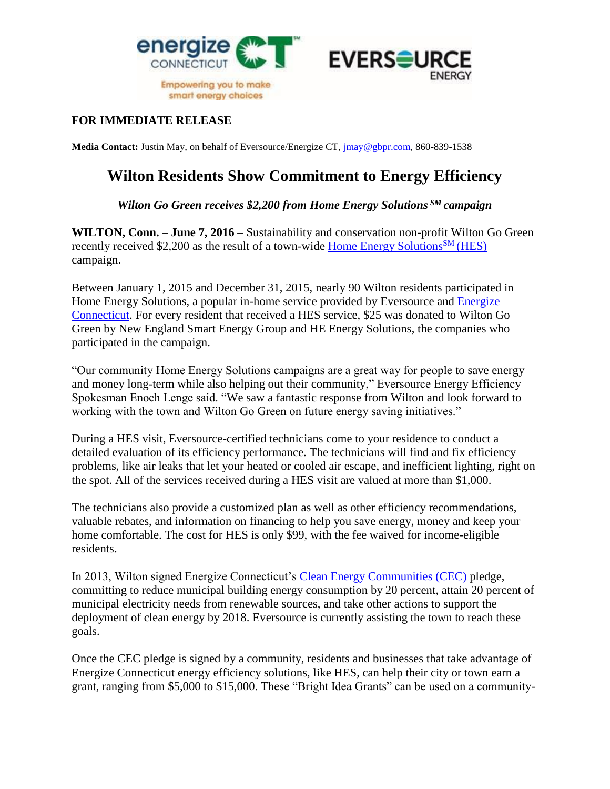



## **FOR IMMEDIATE RELEASE**

**Media Contact:** Justin May, on behalf of Eversource/Energize CT, [jmay@gbpr.com,](mailto:jmay@gbpr.com) 860-839-1538

## **Wilton Residents Show Commitment to Energy Efficiency**

## *Wilton Go Green receives \$2,200 from Home Energy Solutions SM campaign*

**WILTON, Conn. – June 7, 2016 –** Sustainability and conservation non-profit Wilton Go Green recently received \$2,200 as the result of a town-wide [Home Energy Solutions](http://www.energizect.com/your-home/solutions-list/home-energy-solutions-core-services)<sup>SM</sup> (HES) campaign.

Between January 1, 2015 and December 31, 2015, nearly 90 Wilton residents participated in Home Energy Solutions, a popular in-home service provided by Eversource and [Energize](http://www.energizect.com/)  [Connecticut.](http://www.energizect.com/) For every resident that received a HES service, \$25 was donated to Wilton Go Green by New England Smart Energy Group and HE Energy Solutions, the companies who participated in the campaign.

"Our community Home Energy Solutions campaigns are a great way for people to save energy and money long-term while also helping out their community," Eversource Energy Efficiency Spokesman Enoch Lenge said. "We saw a fantastic response from Wilton and look forward to working with the town and Wilton Go Green on future energy saving initiatives."

During a HES visit, Eversource-certified technicians come to your residence to conduct a detailed evaluation of its efficiency performance. The technicians will find and fix efficiency problems, like air leaks that let your heated or cooled air escape, and inefficient lighting, right on the spot. All of the services received during a HES visit are valued at more than \$1,000.

The technicians also provide a customized plan as well as other efficiency recommendations, valuable rebates, and information on financing to help you save energy, money and keep your home comfortable. The cost for HES is only \$99, with the fee waived for income-eligible residents.

In 2013, Wilton signed Energize Connecticut's [Clean Energy Communities \(CEC\)](http://www.energizect.com/your-town/solutions-list/clean-energy-communities) pledge, committing to reduce municipal building energy consumption by 20 percent, attain 20 percent of municipal electricity needs from renewable sources, and take other actions to support the deployment of clean energy by 2018. Eversource is currently assisting the town to reach these goals.

Once the CEC pledge is signed by a community, residents and businesses that take advantage of Energize Connecticut energy efficiency solutions, like HES, can help their city or town earn a grant, ranging from \$5,000 to \$15,000. These "Bright Idea Grants" can be used on a community-